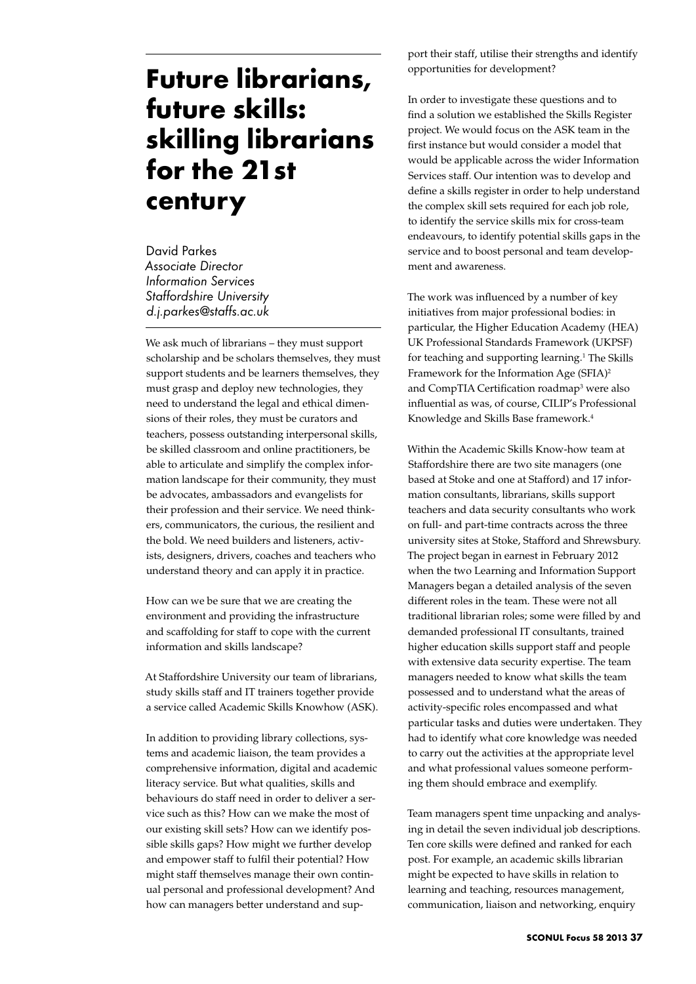## **Future librarians, future skills: skilling librarians for the 21st century**

David Parkes *Associate Director Information Services Staffordshire University d.j.parkes@staffs.ac.uk*

We ask much of librarians – they must support scholarship and be scholars themselves, they must support students and be learners themselves, they must grasp and deploy new technologies, they need to understand the legal and ethical dimensions of their roles, they must be curators and teachers, possess outstanding interpersonal skills, be skilled classroom and online practitioners, be able to articulate and simplify the complex information landscape for their community, they must be advocates, ambassadors and evangelists for their profession and their service. We need thinkers, communicators, the curious, the resilient and the bold. We need builders and listeners, activists, designers, drivers, coaches and teachers who understand theory and can apply it in practice.

How can we be sure that we are creating the environment and providing the infrastructure and scaffolding for staff to cope with the current information and skills landscape?

At Staffordshire University our team of librarians, study skills staff and IT trainers together provide a service called Academic Skills Knowhow (ASK).

In addition to providing library collections, systems and academic liaison, the team provides a comprehensive information, digital and academic literacy service. But what qualities, skills and behaviours do staff need in order to deliver a service such as this? How can we make the most of our existing skill sets? How can we identify possible skills gaps? How might we further develop and empower staff to fulfil their potential? How might staff themselves manage their own continual personal and professional development? And how can managers better understand and sup-

port their staff, utilise their strengths and identify opportunities for development?

In order to investigate these questions and to find a solution we established the Skills Register project. We would focus on the ASK team in the first instance but would consider a model that would be applicable across the wider Information Services staff. Our intention was to develop and define a skills register in order to help understand the complex skill sets required for each job role, to identify the service skills mix for cross-team endeavours, to identify potential skills gaps in the service and to boost personal and team development and awareness.

The work was influenced by a number of key initiatives from major professional bodies: in particular, the Higher Education Academy (HEA) UK Professional Standards Framework (UKPSF) for teaching and supporting learning.<sup>1</sup> The Skills Framework for the Information Age (SFIA)<sup>2</sup> and CompTIA Certification roadmap3 were also influential as was, of course, CILIP's Professional Knowledge and Skills Base framework.4

Within the Academic Skills Know-how team at Staffordshire there are two site managers (one based at Stoke and one at Stafford) and 17 information consultants, librarians, skills support teachers and data security consultants who work on full- and part-time contracts across the three university sites at Stoke, Stafford and Shrewsbury. The project began in earnest in February 2012 when the two Learning and Information Support Managers began a detailed analysis of the seven different roles in the team. These were not all traditional librarian roles; some were filled by and demanded professional IT consultants, trained higher education skills support staff and people with extensive data security expertise. The team managers needed to know what skills the team possessed and to understand what the areas of activity-specific roles encompassed and what particular tasks and duties were undertaken. They had to identify what core knowledge was needed to carry out the activities at the appropriate level and what professional values someone performing them should embrace and exemplify.

Team managers spent time unpacking and analysing in detail the seven individual job descriptions. Ten core skills were defined and ranked for each post. For example, an academic skills librarian might be expected to have skills in relation to learning and teaching, resources management, communication, liaison and networking, enquiry